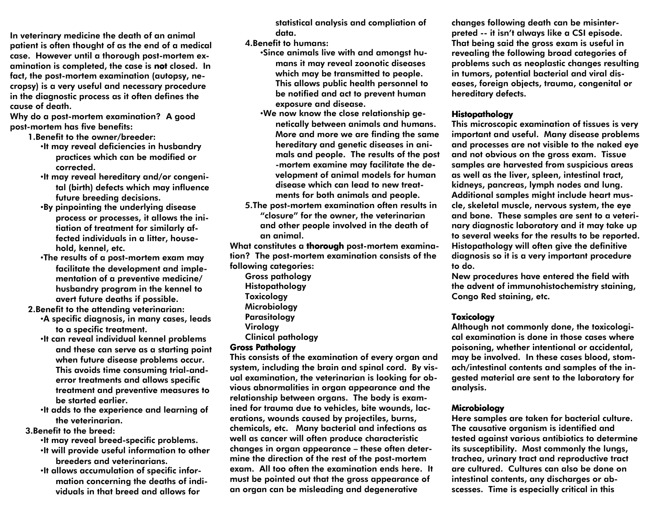In veterinary medicine the death of an animal patient is often thought of as the end of a medical case. However until a thorough post-mortem examination is completed, the case is not closed. In fact, the post-mortem examination (autopsy, necropsy) is a very useful and necessary procedure in the diagnostic process as it often defines the cause of death.

 Why do a post-mortem examination? A good post-mortem has five benefits:

- 1.Benefit to the owner/breeder: •It may reveal deficiencies in husbandry practices which can be modified or corrected.
	- •It may reveal hereditary and/or congenital (birth) defects which may influence future breeding decisions.
	- •By pinpointing the underlying disease process or processes, it allows the initiation of treatment for similarly affected individuals in a litter, household, kennel, etc.
	- •The results of a post-mortem exam may facilitate the development and implementation of a preventive medicine/ husbandry program in the kennel to avert future deaths if possible.

2.Benefit to the attending veterinarian:

- •A specific diagnosis, in many cases, leads to a specific treatment.
- •It can reveal individual kennel problems and these can serve as a starting point when future disease problems occur. This avoids time consuming trial-anderror treatments and allows specific treatment and preventive measures to be started earlier.
- •It adds to the experience and learning of the veterinarian.

3.Benefit to the breed:

- •It may reveal breed-specific problems. •It will provide useful information to other breeders and veterinarians.
- •It allows accumulation of specific information concerning the deaths of individuals in that breed and allows for

statistical analysis and compliation of data.

4.Benefit to humans:

- •Since animals live with and amongst humans it may reveal zoonotic diseases which may be transmitted to people. This allows public health personnel to be notified and act to prevent human exposure and disease.
- •We now know the close relationship genetically between animals and humans. More and more we are finding the same hereditary and genetic diseases in animals and people. The results of the post-mortem examine may facilitate the development of animal models for human disease which can lead to new treatments for both animals and people.
- 5.The post-mortem examination often results in "closure" for the owner, the veterinarian and other people involved in the death of an animal.

What constitutes a thorough post-mortem examination? The post-mortem examination consists of the following categories:

Gross pathology Histopathology **Toxicology**  Microbiology Parasitology **Virology** Clinical pathology

#### **Gross Pathology**

 This consists of the examination of every organ and system, including the brain and spinal cord. By visual examination, the veterinarian is looking for obvious abnormalities in organ appearance and the relationship between organs. The body is examined for trauma due to vehicles, bite wounds, lacerations, wounds caused by projectiles, burns, chemicals, etc. Many bacterial and infections as well as cancer will often produce characteristic changes in organ appearance – these often determine the direction of the rest of the post-mortem exam. All too often the examination ends here. It must be pointed out that the gross appearance of an organ can be misleading and degenerative

changes following death can be misinterpreted -- it isn't always like a CSI episode. That being said the gross exam is useful in revealing the following broad categories of problems such as neoplastic changes resulting in tumors, potential bacterial and viral diseases, foreign objects, trauma, congenital or hereditary defects.

#### **Histopathology**

 This microscopic examination of tissues is very important and useful. Many disease problems and processes are not visible to the naked eye and not obvious on the gross exam. Tissue samples are harvested from suspicious areas as well as the liver, spleen, intestinal tract, kidneys, pancreas, lymph nodes and lung. Additional samples might include heart muscle, skeletal muscle, nervous system, the eye and bone. These samples are sent to a veterinary diagnostic laboratory and it may take up to several weeks for the results to be reported. Histopathology will often give the definitive diagnosis so it is a very important procedure to do.

 New procedures have entered the field with the advent of immunohistochemistry staining, Congo Red staining, etc.

### **Toxicology**

 Although not commonly done, the toxicological examination is done in those cases where poisoning, whether intentional or accidental, may be involved. In these cases blood, stomach/intestinal contents and samples of the ingested material are sent to the laboratory for analysis.

### Microbiology Microbiology

 Here samples are taken for bacterial culture. The causative organism is identified and tested against various antibiotics to determine its susceptibility. Most commonly the lungs, trachea, urinary tract and reproductive tract are cultured. Cultures can also be done on intestinal contents, any discharges or abscesses. Time is especially critical in this